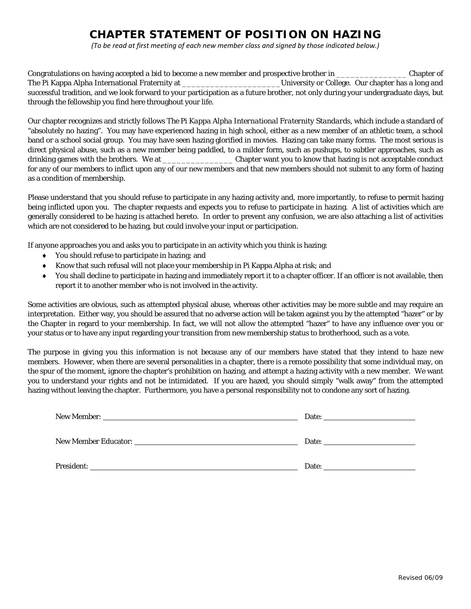## **CHAPTER STATEMENT OF POSITION ON HAZING**

*(To be read at first meeting of each new member class and signed by those indicated below.)*

Congratulations on having accepted a bid to become a new member and prospective brother in \_\_\_\_\_\_\_\_\_\_\_\_\_\_\_ Chapter of The Pi Kappa Alpha International Fraternity at the College. Our chapter has a long and successful tradition, and we look forward to your participation as a future brother, not only during your undergraduate days, but through the fellowship you find here throughout your life.

Our chapter recognizes and strictly follows *The Pi Kappa Alpha International Fraternity Standards*, which include a standard of "absolutely no hazing". You may have experienced hazing in high school, either as a new member of an athletic team, a school band or a school social group. You may have seen hazing glorified in movies. Hazing can take many forms. The most serious is direct physical abuse, such as a new member being paddled, to a milder form, such as pushups, to subtler approaches, such as drinking games with the brothers. We at \_\_\_\_\_\_\_\_\_\_\_\_\_\_\_ Chapter want you to know that hazing is not acceptable conduct for any of our members to inflict upon any of our new members and that new members should not submit to any form of hazing as a condition of membership.

Please understand that you should refuse to participate in any hazing activity and, more importantly, to refuse to permit hazing being inflicted upon you. The chapter requests and expects you to refuse to participate in hazing. A list of activities which are generally considered to be hazing is attached hereto. In order to prevent any confusion, we are also attaching a list of activities which are not considered to be hazing, but could involve your input or participation.

If anyone approaches you and asks you to participate in an activity which you think is hazing:

- You should refuse to participate in hazing; and
- Know that such refusal will not place your membership in Pi Kappa Alpha at risk; and
- You shall decline to participate in hazing and immediately report it to a chapter officer. If an officer is not available, then report it to another member who is not involved in the activity.

Some activities are obvious, such as attempted physical abuse, whereas other activities may be more subtle and may require an interpretation. Either way, you should be assured that no adverse action will be taken against you by the attempted "hazer" or by the Chapter in regard to your membership. In fact, we will not allow the attempted "hazer" to have any influence over you or your status or to have any input regarding your transition from new membership status to brotherhood, such as a vote.

The purpose in giving you this information is not because any of our members have stated that they intend to haze new members. However, when there are several personalities in a chapter, there is a remote possibility that some individual may, on the spur of the moment, ignore the chapter's prohibition on hazing, and attempt a hazing activity with a new member. We want you to understand your rights and not be intimidated. If you are hazed, you should simply "walk away" from the attempted hazing without leaving the chapter. Furthermore, you have a personal responsibility not to condone any sort of hazing.

| Date: the contract of the contract of the contract of the contract of the contract of the contract of the contract of the contract of the contract of the contract of the contract of the contract of the contract of the cont |
|--------------------------------------------------------------------------------------------------------------------------------------------------------------------------------------------------------------------------------|
|                                                                                                                                                                                                                                |
|                                                                                                                                                                                                                                |
|                                                                                                                                                                                                                                |
| Date: the contract of the contract of the contract of the contract of the contract of the contract of the contract of the contract of the contract of the contract of the contract of the contract of the contract of the cont |
|                                                                                                                                                                                                                                |